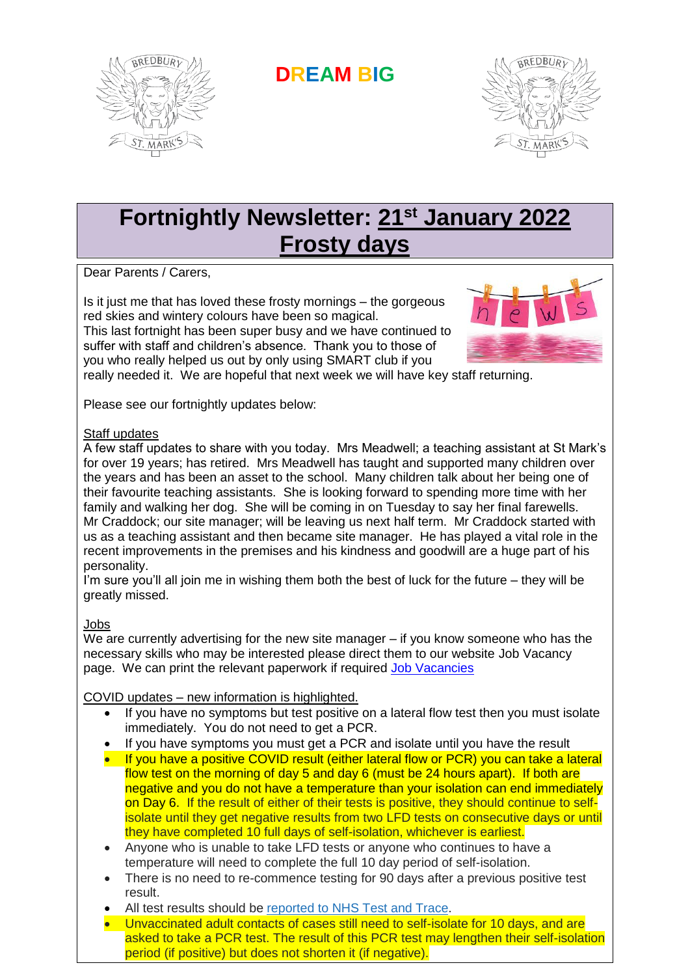

**DREAM BIG**



# **Fortnightly Newsletter: 21st January 2022 Frosty days**

Dear Parents / Carers,

Is it just me that has loved these frosty mornings – the gorgeous red skies and wintery colours have been so magical.

This last fortnight has been super busy and we have continued to suffer with staff and children's absence. Thank you to those of you who really helped us out by only using SMART club if you



really needed it. We are hopeful that next week we will have key staff returning.

Please see our fortnightly updates below:

#### Staff updates

A few staff updates to share with you today. Mrs Meadwell; a teaching assistant at St Mark's for over 19 years; has retired. Mrs Meadwell has taught and supported many children over the years and has been an asset to the school. Many children talk about her being one of their favourite teaching assistants. She is looking forward to spending more time with her family and walking her dog. She will be coming in on Tuesday to say her final farewells. Mr Craddock; our site manager; will be leaving us next half term. Mr Craddock started with us as a teaching assistant and then became site manager. He has played a vital role in the recent improvements in the premises and his kindness and goodwill are a huge part of his personality.

I'm sure you'll all join me in wishing them both the best of luck for the future – they will be greatly missed.

#### Jobs

We are currently advertising for the new site manager – if you know someone who has the necessary skills who may be interested please direct them to our website Job Vacancy page. We can print the relevant paperwork if required [Job Vacancies](https://www.st-marks.stockport.sch.uk/page/job-vacancies/105541)

#### COVID updates – new information is highlighted.

- If you have no symptoms but test positive on a lateral flow test then you must isolate immediately. You do not need to get a PCR.
- If you have symptoms you must get a PCR and isolate until you have the result
- If you have a positive COVID result (either lateral flow or PCR) you can take a lateral flow test on the morning of day 5 and day 6 (must be 24 hours apart). If both are negative and you do not have a temperature than your isolation can end immediately on Day 6. If the result of either of their tests is positive, they should continue to selfisolate until they get negative results from two LFD tests on consecutive days or until they have completed 10 full days of self-isolation, whichever is earliest.
- Anyone who is unable to take LFD tests or anyone who continues to have a temperature will need to complete the full 10 day period of self-isolation.
- There is no need to re-commence testing for 90 days after a previous positive test result.
- All test results should be [reported to NHS Test and Trace.](https://www.gov.uk/report-covid19-result?utm_source=14%20January%202022%20C19&utm_medium=Daily%20Email%20C19&utm_campaign=DfE%20C19)
- Unvaccinated adult contacts of cases still need to self-isolate for 10 days, and are asked to take a PCR test. The result of this PCR test may lengthen their self-isolation period (if positive) but does not shorten it (if negative).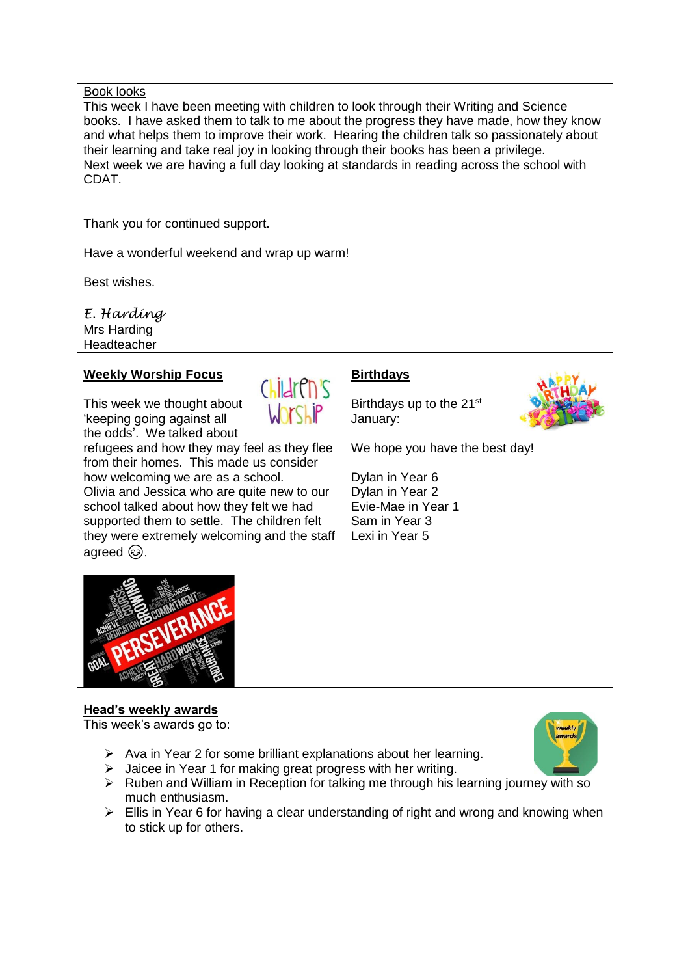#### Book looks

This week I have been meeting with children to look through their Writing and Science books. I have asked them to talk to me about the progress they have made, how they know and what helps them to improve their work. Hearing the children talk so passionately about their learning and take real joy in looking through their books has been a privilege. Next week we are having a full day looking at standards in reading across the school with CDAT.

Thank you for continued support.

Have a wonderful weekend and wrap up warm!

Best wishes.

*E. Harding* Mrs Harding Headteacher

agreed  $\circled{a}$ .

#### **Weekly Worship Focus**

This week we thought about 'keeping going against all the odds'. We talked about



refugees and how they may feel as they flee from their homes. This made us consider how welcoming we are as a school. Olivia and Jessica who are quite new to our school talked about how they felt we had supported them to settle. The children felt they were extremely welcoming and the staff

### **Birthdays**

Birthdays up to the 21<sup>st</sup> January:



We hope you have the best day!

Dylan in Year 6 Dylan in Year 2 Evie-Mae in Year 1 Sam in Year 3 Lexi in Year 5



## **Head's weekly awards**

This week's awards go to:

- $\triangleright$  Ava in Year 2 for some brilliant explanations about her learning.
- $\triangleright$  Jaicee in Year 1 for making great progress with her writing.
- $\triangleright$  Ruben and William in Reception for talking me through his learning journey with so much enthusiasm.
- $\triangleright$  Ellis in Year 6 for having a clear understanding of right and wrong and knowing when to stick up for others.